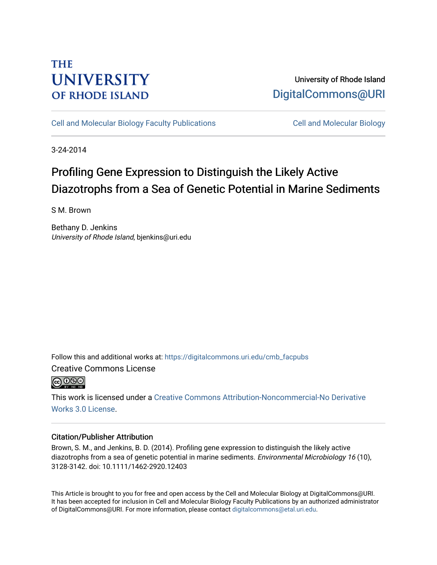# **THE UNIVERSITY OF RHODE ISLAND**

### University of Rhode Island [DigitalCommons@URI](https://digitalcommons.uri.edu/)

[Cell and Molecular Biology Faculty Publications](https://digitalcommons.uri.edu/cmb_facpubs) [Cell and Molecular Biology](https://digitalcommons.uri.edu/cmb) 

3-24-2014

# Profiling Gene Expression to Distinguish the Likely Active Diazotrophs from a Sea of Genetic Potential in Marine Sediments

S M. Brown

Bethany D. Jenkins University of Rhode Island, bjenkins@uri.edu

Follow this and additional works at: [https://digitalcommons.uri.edu/cmb\\_facpubs](https://digitalcommons.uri.edu/cmb_facpubs?utm_source=digitalcommons.uri.edu%2Fcmb_facpubs%2F31&utm_medium=PDF&utm_campaign=PDFCoverPages) 

Creative Commons License



This work is licensed under a [Creative Commons Attribution-Noncommercial-No Derivative](https://creativecommons.org/licenses/by-nc-nd/3.0/)  [Works 3.0 License](https://creativecommons.org/licenses/by-nc-nd/3.0/).

### Citation/Publisher Attribution

Brown, S. M., and Jenkins, B. D. (2014). Profiling gene expression to distinguish the likely active diazotrophs from a sea of genetic potential in marine sediments. Environmental Microbiology 16 (10), 3128-3142. doi: 10.1111/1462-2920.12403

This Article is brought to you for free and open access by the Cell and Molecular Biology at DigitalCommons@URI. It has been accepted for inclusion in Cell and Molecular Biology Faculty Publications by an authorized administrator of DigitalCommons@URI. For more information, please contact [digitalcommons@etal.uri.edu](mailto:digitalcommons@etal.uri.edu).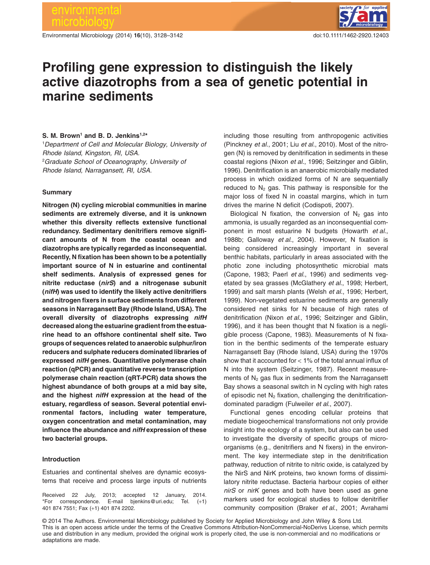Environmental Microbiology (2014) **16**(10), 3128–3142 doi:10.1111/1462-2920.12403



## **Profiling gene expression to distinguish the likely active diazotrophs from a sea of genetic potential in marine sediments**

#### **S. M. Brown1 and B. D. Jenkins1,2\***

1 *Department of Cell and Molecular Biology, University of Rhode Island, Kingston, RI, USA.* 2 *Graduate School of Oceanography, University of Rhode Island, Narragansett, RI, USA.*

#### **Summary**

**Nitrogen (N) cycling microbial communities in marine sediments are extremely diverse, and it is unknown whether this diversity reflects extensive functional redundancy. Sedimentary denitrifiers remove significant amounts of N from the coastal ocean and diazotrophs are typically regarded as inconsequential. Recently, N fixation has been shown to be a potentially important source of N in estuarine and continental shelf sediments. Analysis of expressed genes for nitrite reductase (***nirS***) and a nitrogenase subunit (***nifH***) was used to identify the likely active denitrifiers and nitrogen fixers in surface sediments from different seasons in Narragansett Bay (Rhode Island, USA). The overall diversity of diazotrophs expressing** *nifH* **decreased along the estuarine gradient from the estuarine head to an offshore continental shelf site. Two groups of sequences related to anaerobic sulphur/iron reducers and sulphate reducers dominated libraries of expressed** *nifH* **genes. Quantitative polymerase chain reaction (qPCR) and quantitative reverse transcription polymerase chain reaction (qRT-PCR) data shows the highest abundance of both groups at a mid bay site, and the highest** *nifH* **expression at the head of the estuary, regardless of season. Several potential environmental factors, including water temperature, oxygen concentration and metal contamination, may influence the abundance and** *nifH* **expression of these two bacterial groups.**

#### **Introduction**

Estuaries and continental shelves are dynamic ecosystems that receive and process large inputs of nutrients

Received 22 July, 2013; accepted 12 January, 2014. \*For correspondence. E-mail [bjenkins@uri.edu;](mailto:bjenkins@uri.edu) Tel. (+1) 401 874 7551; Fax (+1) 401 874 2202.

including those resulting from anthropogenic activities (Pinckney *et al*., 2001; Liu *et al*., 2010). Most of the nitrogen (N) is removed by denitrification in sediments in these coastal regions (Nixon *et al*., 1996; Seitzinger and Giblin, 1996). Denitrification is an anaerobic microbially mediated process in which oxidized forms of N are sequentially reduced to  $N_2$  gas. This pathway is responsible for the major loss of fixed N in coastal margins, which in turn drives the marine N deficit (Codispoti, 2007).

Biological N fixation, the conversion of  $N_2$  gas into ammonia, is usually regarded as an inconsequential component in most estuarine N budgets (Howarth *et al*., 1988b; Galloway *et al*., 2004). However, N fixation is being considered increasingly important in several benthic habitats, particularly in areas associated with the photic zone including photosynthetic microbial mats (Capone, 1983; Paerl *et al*., 1996) and sediments vegetated by sea grasses (McGlathery *et al*., 1998; Herbert, 1999) and salt marsh plants (Welsh *et al*., 1996; Herbert, 1999). Non-vegetated estuarine sediments are generally considered net sinks for N because of high rates of denitrification (Nixon *et al*., 1996; Seitzinger and Giblin, 1996), and it has been thought that N fixation is a negligible process (Capone, 1983). Measurements of N fixation in the benthic sediments of the temperate estuary Narragansett Bay (Rhode Island, USA) during the 1970s show that it accounted for < 1% of the total annual influx of N into the system (Seitzinger, 1987). Recent measurements of  $N_2$  gas flux in sediments from the Narragansett Bay shows a seasonal switch in N cycling with high rates of episodic net  $N_2$  fixation, challenging the denitrificationdominated paradigm (Fulweiler *et al*., 2007).

Functional genes encoding cellular proteins that mediate biogeochemical transformations not only provide insight into the ecology of a system, but also can be used to investigate the diversity of specific groups of microorganisms (e.g., denitrifiers and N fixers) in the environment. The key intermediate step in the denitrification pathway, reduction of nitrite to nitric oxide, is catalyzed by the NirS and NirK proteins, two known forms of dissimilatory nitrite reductase. Bacteria harbour copies of either *nirS* or *nirK* genes and both have been used as gene markers used for ecological studies to follow denitrifier community composition (Braker *et al*., 2001; Avrahami

© 2014 The Authors. Environmental Microbiology published by Society for Applied Microbiology and John Wiley & Sons Ltd. This is an open access article under the terms of the [Creative Commons Attribution-NonCommercial-NoDerivs](http://creativecommons.org/licenses/by-nc-nd/3.0/) License, which permits use and distribution in any medium, provided the original work is properly cited, the use is non-commercial and no modifications or adaptations are made.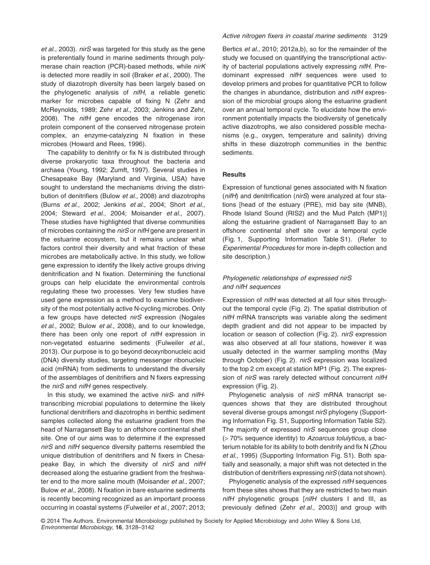*et al*., 2003). *nirS* was targeted for this study as the gene is preferentially found in marine sediments through polymerase chain reaction (PCR)-based methods, while *nirK* is detected more readily in soil (Braker *et al*., 2000). The study of diazotroph diversity has been largely based on the phylogenetic analysis of *nifH*, a reliable genetic marker for microbes capable of fixing N (Zehr and McReynolds, 1989; Zehr *et al*., 2003; Jenkins and Zehr, 2008). The *nifH* gene encodes the nitrogenase iron protein component of the conserved nitrogenase protein complex, an enzyme-catalyzing N fixation in these microbes (Howard and Rees, 1996).

The capability to denitrify or fix N is distributed through diverse prokaryotic taxa throughout the bacteria and archaea (Young, 1992; Zumft, 1997). Several studies in Chesapeake Bay (Maryland and Virginia, USA) have sought to understand the mechanisms driving the distribution of denitrifiers (Bulow *et al*., 2008) and diazotrophs (Burns *et al*., 2002; Jenkins *et al*., 2004; Short *et al*., 2004; Steward *et al*., 2004; Moisander *et al*., 2007). These studies have highlighted that diverse communities of microbes containing the *nirS* or *nifH* gene are present in the estuarine ecosystem, but it remains unclear what factors control their diversity and what fraction of these microbes are metabolically active. In this study, we follow gene expression to identify the likely active groups driving denitrification and N fixation. Determining the functional groups can help elucidate the environmental controls regulating these two processes. Very few studies have used gene expression as a method to examine biodiversity of the most potentially active N-cycling microbes. Only a few groups have detected *nirS* expression (Nogales *et al*., 2002; Bulow *et al*., 2008), and to our knowledge, there has been only one report of *nifH* expression in non-vegetated estuarine sediments (Fulweiler *et al*., 2013). Our purpose is to go beyond deoxyribonucleic acid (DNA) diversity studies, targeting messenger ribonucleic acid (mRNA) from sediments to understand the diversity of the assemblages of denitrifiers and N fixers expressing the *nirS* and *nifH* genes respectively.

In this study, we examined the active *nirS*- and *nifH*transcribing microbial populations to determine the likely functional denitrifiers and diazotrophs in benthic sediment samples collected along the estuarine gradient from the head of Narragansett Bay to an offshore continental shelf site. One of our aims was to determine if the expressed *nirS* and *nifH* sequence diversity patterns resembled the unique distribution of denitrifiers and N fixers in Chesapeake Bay, in which the diversity of *nirS* and *nifH* decreased along the estuarine gradient from the freshwater end to the more saline mouth (Moisander *et al*., 2007; Bulow *et al*., 2008). N fixation in bare estuarine sediments is recently becoming recognized as an important process occurring in coastal systems (Fulweiler *et al*., 2007; 2013;

#### *Active nitrogen fixers in coastal marine sediments* 3129

Bertics *et al*., 2010; 2012a,b), so for the remainder of the study we focused on quantifying the transcriptional activity of bacterial populations actively expressing *nifH*. Predominant expressed *nifH* sequences were used to develop primers and probes for quantitative PCR to follow the changes in abundance, distribution and *nifH* expression of the microbial groups along the estuarine gradient over an annual temporal cycle. To elucidate how the environment potentially impacts the biodiversity of genetically active diazotrophs, we also considered possible mechanisms (e.g., oxygen, temperature and salinity) driving shifts in these diazotroph communities in the benthic sediments.

#### **Results**

Expression of functional genes associated with N fixation (*nifH*) and denitrification (*nirS*) were analyzed at four stations [head of the estuary (PRE), mid bay site (MNB), Rhode Island Sound (RIS2) and the Mud Patch (MP1)] along the estuarine gradient of Narragansett Bay to an offshore continental shelf site over a temporal cycle (Fig. 1, Supporting Information Table S1). (Refer to *Experimental Procedures* for more in-depth collection and site description.)

#### *Phylogenetic relationships of expressed nirS and nifH sequences*

Expression of *nifH* was detected at all four sites throughout the temporal cycle (Fig. 2). The spatial distribution of *nifH* mRNA transcripts was variable along the sediment depth gradient and did not appear to be impacted by location or season of collection (Fig. 2). *nirS* expression was also observed at all four stations, however it was usually detected in the warmer sampling months (May through October) (Fig. 2). *nirS* expression was localized to the top 2 cm except at station MP1 (Fig. 2). The expression of *nirS* was rarely detected without concurrent *nifH* expression (Fig. 2).

Phylogenetic analysis of *nirS* mRNA transcript sequences shows that they are distributed throughout several diverse groups amongst *nirS* phylogeny (Supporting Information Fig. S1, Supporting Information Table S2). The majority of expressed *nirS* sequences group close (> 70% sequence identity) to *Azoarcus tolulyticus*, a bacterium notable for its ability to both denitrify and fix N (Zhou *et al*., 1995) (Supporting Information Fig. S1). Both spatially and seasonally, a major shift was not detected in the distribution of denitrifiers expressing *nirS* (data not shown).

Phylogenetic analysis of the expressed *nifH* sequences from these sites shows that they are restricted to two main *nifH* phylogenetic groups [*nifH* clusters I and III, as previously defined (Zehr *et al*., 2003)] and group with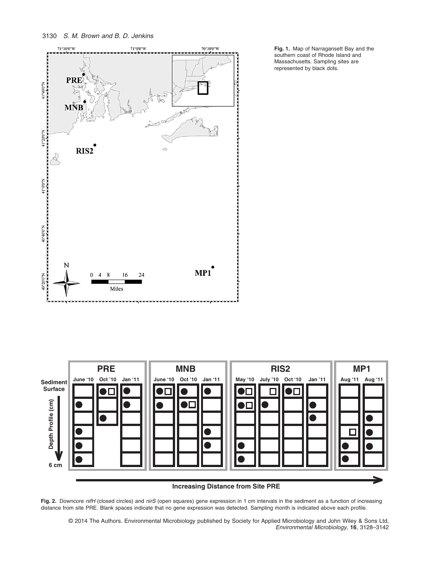



**Fig. 1.** Map of Narragansett Bay and the southern coast of Rhode Island and Massachusetts. Sampling sites are represented by black dots.



**Increasing Distance from Site PRE**

**Fig. 2.** Downcore *nifH* (closed circles) and *nirS* (open squares) gene expression in 1 cm intervals in the sediment as a function of increasing distance from site PRE. Blank spaces indicate that no gene expression was detected. Sampling month is indicated above each profile.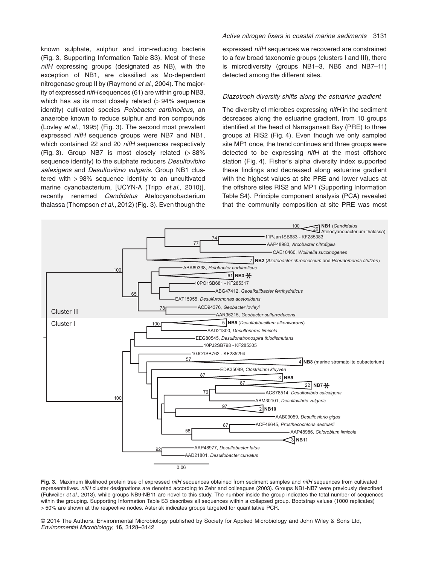known sulphate, sulphur and iron-reducing bacteria (Fig. 3, Supporting Information Table S3). Most of these *nifH* expressing groups (designated as NB), with the exception of NB1, are classified as Mo-dependent nitrogenase group II by (Raymond *et al*., 2004). The majority of expressed *nifH* sequences (61) are within group NB3, which has as its most closely related (> 94% sequence identity) cultivated species *Pelobacter carbinolicus*, an anaerobe known to reduce sulphur and iron compounds (Lovley *et al*., 1995) (Fig. 3). The second most prevalent expressed *nifH* sequence groups were NB7 and NB1, which contained 22 and 20 *nifH* sequences respectively (Fig. 3). Group NB7 is most closely related  $(>88\%)$ sequence identity) to the sulphate reducers *Desulfovibiro salexigens* and *Desulfovibrio vulgaris*. Group NB1 clustered with > 98% sequence identity to an uncultivated marine cyanobacterium, [UCYN-A (Tripp *et al*., 2010)], recently renamed *Candidatus* Atelocyanobacterium thalassa (Thompson *et al*., 2012) (Fig. 3). Even though the

#### *Active nitrogen fixers in coastal marine sediments* 3131

expressed *nifH* sequences we recovered are constrained to a few broad taxonomic groups (clusters I and III), there is microdiversity (groups NB1–3, NB5 and NB7–11) detected among the different sites.

#### *Diazotroph diversity shifts along the estuarine gradient*

The diversity of microbes expressing *nifH* in the sediment decreases along the estuarine gradient, from 10 groups identified at the head of Narragansett Bay (PRE) to three groups at RIS2 (Fig. 4). Even though we only sampled site MP1 once, the trend continues and three groups were detected to be expressing *nifH* at the most offshore station (Fig. 4). Fisher's alpha diversity index supported these findings and decreased along estuarine gradient with the highest values at site PRE and lower values at the offshore sites RIS2 and MP1 (Supporting Information Table S4). Principle component analysis (PCA) revealed that the community composition at site PRE was most



**Fig. 3.** Maximum likelihood protein tree of expressed *nifH* sequences obtained from sediment samples and *nifH* sequences from cultivated representatives. *nifH* cluster designations are denoted according to Zehr and colleagues (2003). Groups NB1-NB7 were previously described (Fulweiler *et al*., 2013), while groups NB9-NB11 are novel to this study. The number inside the group indicates the total number of sequences within the grouping. Supporting Information Table S3 describes all sequences within a collapsed group. Bootstrap values (1000 replicates) > 50% are shown at the respective nodes. Asterisk indicates groups targeted for quantitative PCR.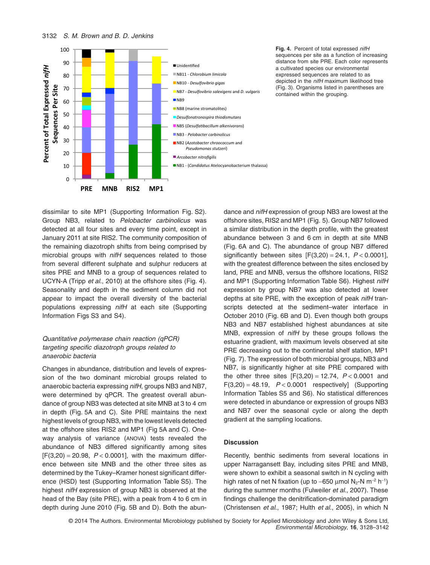

**Fig. 4.** Percent of total expressed *nifH* sequences per site as a function of increasing distance from site PRE. Each color represents a cultivated species our environmental expressed sequences are related to as depicted in the *nifH* maximum likelihood tree (Fig. 3). Organisms listed in parentheses are contained within the grouping.

dissimilar to site MP1 (Supporting Information Fig. S2). Group NB3, related to *Pelobacter carbinolicus* was detected at all four sites and every time point, except in January 2011 at site RIS2. The community composition of the remaining diazotroph shifts from being comprised by microbial groups with *nifH* sequences related to those from several different sulphate and sulphur reducers at sites PRE and MNB to a group of sequences related to UCYN-A (Tripp *et al*., 2010) at the offshore sites (Fig. 4). Seasonality and depth in the sediment column did not appear to impact the overall diversity of the bacterial populations expressing *nifH* at each site (Supporting Information Figs S3 and S4).

#### *Quantitative polymerase chain reaction (qPCR) targeting specific diazotroph groups related to anaerobic bacteria*

Changes in abundance, distribution and levels of expression of the two dominant microbial groups related to anaerobic bacteria expressing *nifH*, groups NB3 and NB7, were determined by qPCR. The greatest overall abundance of group NB3 was detected at site MNB at 3 to 4 cm in depth (Fig. 5A and C). Site PRE maintains the next highest levels of group NB3, with the lowest levels detected at the offshore sites RIS2 and MP1 (Fig 5A and C). Oneway analysis of variance (ANOVA) tests revealed the abundance of NB3 differed significantly among sites  $[F(3,20) = 20.98, P < 0.0001]$ , with the maximum difference between site MNB and the other three sites as determined by the Tukey–Kramer honest significant difference (HSD) test (Supporting Information Table S5). The highest *nifH* expression of group NB3 is observed at the head of the Bay (site PRE), with a peak from 4 to 6 cm in depth during June 2010 (Fig. 5B and D). Both the abundance and *nifH* expression of group NB3 are lowest at the offshore sites, RIS2 and MP1 (Fig. 5). Group NB7 followed a similar distribution in the depth profile, with the greatest abundance between 3 and 6 cm in depth at site MNB (Fig. 6A and C). The abundance of group NB7 differed significantly between sites [F(3,20) = 24.1, *P* < 0.0001], with the greatest difference between the sites enclosed by land, PRE and MNB, versus the offshore locations, RIS2 and MP1 (Supporting Information Table S6). Highest *nifH* expression by group NB7 was also detected at lower depths at site PRE, with the exception of peak *nifH* transcripts detected at the sediment–water interface in October 2010 (Fig. 6B and D). Even though both groups NB3 and NB7 established highest abundances at site MNB, expression of *nifH* by these groups follows the estuarine gradient, with maximum levels observed at site PRE decreasing out to the continental shelf station, MP1 (Fig. 7). The expression of both microbial groups, NB3 and NB7, is significantly higher at site PRE compared with the other three sites  $[F(3,20) = 12.74, P < 0.0001$  and  $F(3,20) = 48.19$ ,  $P < 0.0001$  respectively] (Supporting Information Tables S5 and S6). No statistical differences were detected in abundance or expression of groups NB3 and NB7 over the seasonal cycle or along the depth gradient at the sampling locations.

#### **Discussion**

Recently, benthic sediments from several locations in upper Narragansett Bay, including sites PRE and MNB, were shown to exhibit a seasonal switch in N cycling with high rates of net N fixation (up to -650 µmol N<sub>2</sub>-N m<sup>-2</sup> h<sup>-1</sup>) during the summer months (Fulweiler *et al*., 2007). These findings challenge the denitrification-dominated paradigm (Christensen *et al*., 1987; Hulth *et al*., 2005), in which N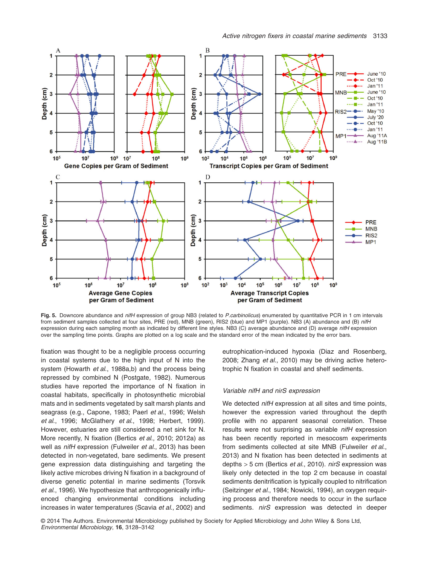

**Fig. 5.** Downcore abundance and *nifH* expression of group NB3 (related to *P.carbinolicus*) enumerated by quantitative PCR in 1 cm intervals from sediment samples collected at four sites, PRE (red), MNB (green), RIS2 (blue) and MP1 (purple). NB3 (A) abundance and (B) *nifH* expression during each sampling month as indicated by different line styles. NB3 (C) average abundance and (D) average *nifH* expression over the sampling time points. Graphs are plotted on a log scale and the standard error of the mean indicated by the error bars.

fixation was thought to be a negligible process occurring in coastal systems due to the high input of N into the system (Howarth *et al*., 1988a,b) and the process being repressed by combined N (Postgate, 1982). Numerous studies have reported the importance of N fixation in coastal habitats, specifically in photosynthetic microbial mats and in sediments vegetated by salt marsh plants and seagrass (e.g., Capone, 1983; Paerl *et al*., 1996; Welsh *et al*., 1996; McGlathery *et al*., 1998; Herbert, 1999). However, estuaries are still considered a net sink for N. More recently, N fixation (Bertics *et al*., 2010; 2012a) as well as *nifH* expression (Fulweiler *et al*., 2013) has been detected in non-vegetated, bare sediments. We present gene expression data distinguishing and targeting the likely active microbes driving N fixation in a background of diverse genetic potential in marine sediments (Torsvik *et al*., 1996). We hypothesize that anthropogenically influenced changing environmental conditions including increases in water temperatures (Scavia *et al*., 2002) and eutrophication-induced hypoxia (Diaz and Rosenberg, 2008; Zhang *et al*., 2010) may be driving active heterotrophic N fixation in coastal and shelf sediments.

#### *Variable nifH and nirS expression*

We detected *nifH* expression at all sites and time points, however the expression varied throughout the depth profile with no apparent seasonal correlation. These results were not surprising as variable *nifH* expression has been recently reported in mesocosm experiments from sediments collected at site MNB (Fulweiler *et al*., 2013) and N fixation has been detected in sediments at depths > 5 cm (Bertics *et al*., 2010). *nirS* expression was likely only detected in the top 2 cm because in coastal sediments denitrification is typically coupled to nitrification (Seitzinger *et al*., 1984; Nowicki, 1994), an oxygen requiring process and therefore needs to occur in the surface sediments. *nirS* expression was detected in deeper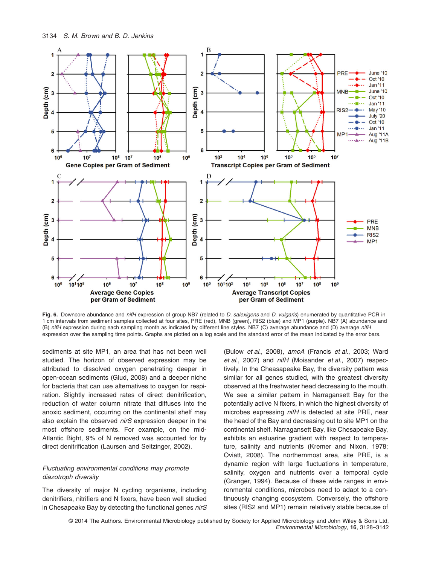

**Fig. 6.** Downcore abundance and *nifH* expression of group NB7 (related to *D. salexigens* and *D. vulgaris*) enumerated by quantitative PCR in 1 cm intervals from sediment samples collected at four sites, PRE (red), MNB (green), RIS2 (blue) and MP1 (purple). NB7 (A) abundance and (B) *nifH* expression during each sampling month as indicated by different line styles. NB7 (C) average abundance and (D) average *nifH* expression over the sampling time points. Graphs are plotted on a log scale and the standard error of the mean indicated by the error bars.

sediments at site MP1, an area that has not been well studied. The horizon of observed expression may be attributed to dissolved oxygen penetrating deeper in open-ocean sediments (Glud, 2008) and a deeper niche for bacteria that can use alternatives to oxygen for respiration. Slightly increased rates of direct denitrification, reduction of water column nitrate that diffuses into the anoxic sediment, occurring on the continental shelf may also explain the observed *nirS* expression deeper in the most offshore sediments. For example, on the mid-Atlantic Bight, 9% of N removed was accounted for by direct denitrification (Laursen and Seitzinger, 2002).

#### *Fluctuating environmental conditions may promote diazotroph diversity*

The diversity of major N cycling organisms, including denitrifiers, nitrifiers and N fixers, have been well studied in Chesapeake Bay by detecting the functional genes *nirS* (Bulow *et al*., 2008), *amoA* (Francis *et al*., 2003; Ward *et al*., 2007) and *nifH* (Moisander *et al*., 2007) respectively. In the Cheasapeake Bay, the diversity pattern was similar for all genes studied, with the greatest diversity observed at the freshwater head decreasing to the mouth. We see a similar pattern in Narragansett Bay for the potentially active N fixers, in which the highest diversity of microbes expressing *nifH* is detected at site PRE, near the head of the Bay and decreasing out to site MP1 on the continental shelf. Narragansett Bay, like Chesapeake Bay, exhibits an estuarine gradient with respect to temperature, salinity and nutrients (Kremer and Nixon, 1978; Oviatt, 2008). The northernmost area, site PRE, is a dynamic region with large fluctuations in temperature, salinity, oxygen and nutrients over a temporal cycle (Granger, 1994). Because of these wide ranges in environmental conditions, microbes need to adapt to a continuously changing ecosystem. Conversely, the offshore sites (RIS2 and MP1) remain relatively stable because of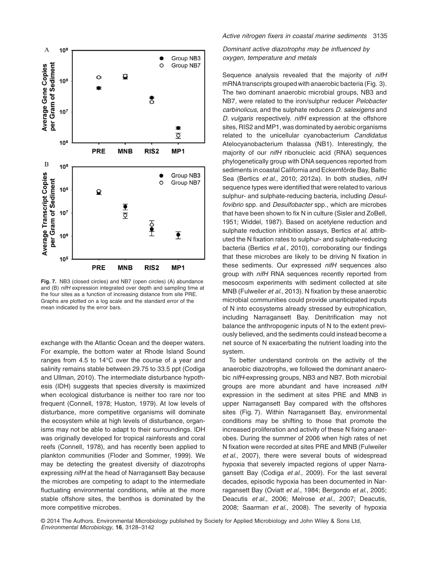

**Fig. 7.** NB3 (closed circles) and NB7 (open circles) (A) abundance and (B) *nifH* expression integrated over depth and sampling time at the four sites as a function of increasing distance from site PRE. Graphs are plotted on a log scale and the standard error of the mean indicated by the error bars.

exchange with the Atlantic Ocean and the deeper waters. For example, the bottom water at Rhode Island Sound ranges from 4.5 to 14°C over the course of a year and salinity remains stable between 29.75 to 33.5 ppt (Codiga and Ullman, 2010). The intermediate disturbance hypothesis (IDH) suggests that species diversity is maximized when ecological disturbance is neither too rare nor too frequent (Connell, 1978; Huston, 1979). At low levels of disturbance, more competitive organisms will dominate the ecosystem while at high levels of disturbance, organisms may not be able to adapt to their surroundings. IDH was originally developed for tropical rainforests and coral reefs (Connell, 1978), and has recently been applied to plankton communities (Floder and Sommer, 1999). We may be detecting the greatest diversity of diazotrophs expressing *nifH* at the head of Narragansett Bay because the microbes are competing to adapt to the intermediate fluctuating environmental conditions, while at the more stable offshore sites, the benthos is dominated by the more competitive microbes.

#### *Active nitrogen fixers in coastal marine sediments* 3135

*Dominant active diazotrophs may be influenced by oxygen, temperature and metals*

Sequence analysis revealed that the majority of *nifH* mRNAtranscripts grouped with anaerobic bacteria (Fig. 3). The two dominant anaerobic microbial groups, NB3 and NB7, were related to the iron/sulphur reducer *Pelobacter carbinolicus*, and the sulphate reducers *D. salexigens* and *D. vulgaris* respectively. *nifH* expression at the offshore sites, RIS2 and MP1, was dominated by aerobic organisms related to the unicellular cyanobacterium *Candidatus* Atelocyanobacterium thalassa (NB1). Interestingly, the majority of our *nifH* ribonucleic acid (RNA) sequences phylogenetically group with DNA sequences reported from sediments in coastal California and Eckernförde Bay, Baltic Sea (Bertics *et al*., 2010; 2012a). In both studies, *nifH* sequence types were identified that were related to various sulphur- and sulphate-reducing bacteria, including *Desulfovibrio* spp. and *Desulfobacter* spp., which are microbes that have been shown to fix N in culture (Sisler and ZoBell, 1951; Widdel, 1987). Based on acetylene reduction and sulphate reduction inhibition assays, Bertics *et al*. attributed the N fixation rates to sulphur- and sulphate-reducing bacteria (Bertics *et al*., 2010), corroborating our findings that these microbes are likely to be driving N fixation in these sediments. Our expressed *nifH* sequences also group with *nifH* RNA sequences recently reported from mesocosm experiments with sediment collected at site MNB (Fulweiler *et al*., 2013). N fixation by these anaerobic microbial communities could provide unanticipated inputs of N into ecosystems already stressed by eutrophication, including Narragansett Bay. Denitrification may not balance the anthropogenic inputs of N to the extent previously believed, and the sediments could instead become a net source of N exacerbating the nutrient loading into the system.

To better understand controls on the activity of the anaerobic diazotrophs, we followed the dominant anaerobic *nifH*-expressing groups, NB3 and NB7. Both microbial groups are more abundant and have increased *nifH* expression in the sediment at sites PRE and MNB in upper Narragansett Bay compared with the offshores sites (Fig. 7). Within Narragansett Bay, environmental conditions may be shifting to those that promote the increased proliferation and activity of these N fixing anaerobes. During the summer of 2006 when high rates of net N fixation were recorded at sites PRE and MNB (Fulweiler *et al*., 2007), there were several bouts of widespread hypoxia that severely impacted regions of upper Narragansett Bay (Codiga *et al*., 2009). For the last several decades, episodic hypoxia has been documented in Narragansett Bay (Oviatt *et al*., 1984; Bergondo *et al*., 2005; Deacutis *et al*., 2006; Melrose *et al*., 2007; Deacutis, 2008; Saarman *et al*., 2008). The severity of hypoxia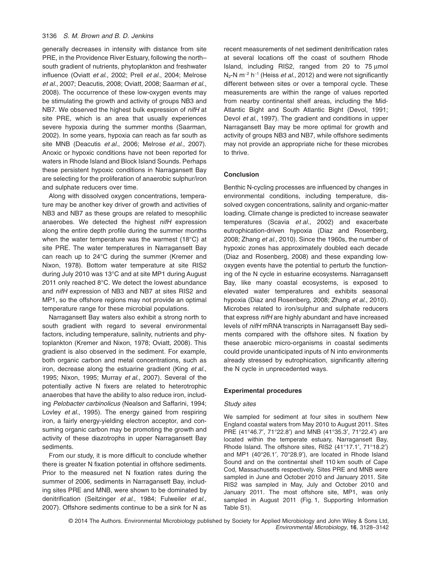#### 3136 *S. M. Brown and B. D. Jenkins*

generally decreases in intensity with distance from site PRE, in the Providence River Estuary, following the north– south gradient of nutrients, phytoplankton and freshwater influence (Oviatt *et al*., 2002; Prell *et al*., 2004; Melrose *et al*., 2007; Deacutis, 2008; Oviatt, 2008; Saarman *et al*., 2008). The occurrence of these low-oxygen events may be stimulating the growth and activity of groups NB3 and NB7. We observed the highest bulk expression of *nifH* at site PRE, which is an area that usually experiences severe hypoxia during the summer months (Saarman, 2002). In some years, hypoxia can reach as far south as site MNB (Deacutis *et al*., 2006; Melrose *et al*., 2007). Anoxic or hypoxic conditions have not been reported for waters in Rhode Island and Block Island Sounds. Perhaps these persistent hypoxic conditions in Narragansett Bay are selecting for the proliferation of anaerobic sulphur/iron and sulphate reducers over time.

Along with dissolved oxygen concentrations, temperature may be another key driver of growth and activities of NB3 and NB7 as these groups are related to mesophilic anaerobes. We detected the highest *nifH* expression along the entire depth profile during the summer months when the water temperature was the warmest (18°C) at site PRE. The water temperatures in Narragansett Bay can reach up to 24°C during the summer (Kremer and Nixon, 1978). Bottom water temperature at site RIS2 during July 2010 was 13°C and at site MP1 during August 2011 only reached 8°C. We detect the lowest abundance and *nifH* expression of NB3 and NB7 at sites RIS2 and MP1, so the offshore regions may not provide an optimal temperature range for these microbial populations.

Narragansett Bay waters also exhibit a strong north to south gradient with regard to several environmental factors, including temperature, salinity, nutrients and phytoplankton (Kremer and Nixon, 1978; Oviatt, 2008). This gradient is also observed in the sediment. For example, both organic carbon and metal concentrations, such as iron, decrease along the estuarine gradient (King *et al*., 1995; Nixon, 1995; Murray *et al*., 2007). Several of the potentially active N fixers are related to heterotrophic anaerobes that have the ability to also reduce iron, including *Pelobacter carbinolicus* (Nealson and Saffarini, 1994; Lovley *et al*., 1995). The energy gained from respiring iron, a fairly energy-yielding electron acceptor, and consuming organic carbon may be promoting the growth and activity of these diazotrophs in upper Narragansett Bay sediments.

From our study, it is more difficult to conclude whether there is greater N fixation potential in offshore sediments. Prior to the measured net N fixation rates during the summer of 2006, sediments in Narragansett Bay, including sites PRE and MNB, were shown to be dominated by denitrification (Seitzinger *et al*., 1984; Fulweiler *et al*., 2007). Offshore sediments continue to be a sink for N as

recent measurements of net sediment denitrification rates at several locations off the coast of southern Rhode Island, including RIS2, ranged from 20 to 75 μmol N<sub>2</sub>-N m<sup>-2</sup> h<sup>-1</sup> (Heiss *et al.*, 2012) and were not significantly different between sites or over a temporal cycle. These measurements are within the range of values reported from nearby continental shelf areas, including the Mid-Atlantic Bight and South Atlantic Bight (Devol, 1991; Devol *et al*., 1997). The gradient and conditions in upper Narragansett Bay may be more optimal for growth and activity of groups NB3 and NB7, while offshore sediments may not provide an appropriate niche for these microbes to thrive.

#### **Conclusion**

Benthic N-cycling processes are influenced by changes in environmental conditions, including temperature, dissolved oxygen concentrations, salinity and organic-matter loading. Climate change is predicted to increase seawater temperatures (Scavia *et al*., 2002) and exacerbate eutrophication-driven hypoxia (Diaz and Rosenberg, 2008; Zhang *et al*., 2010). Since the 1960s, the number of hypoxic zones has approximately doubled each decade (Diaz and Rosenberg, 2008) and these expanding lowoxygen events have the potential to perturb the functioning of the N cycle in estuarine ecosystems. Narragansett Bay, like many coastal ecosystems, is exposed to elevated water temperatures and exhibits seasonal hypoxia (Diaz and Rosenberg, 2008; Zhang *et al*., 2010). Microbes related to iron/sulphur and sulphate reducers that express *nifH* are highly abundant and have increased levels of *nifH* mRNA transcripts in Narragansett Bay sediments compared with the offshore sites. N fixation by these anaerobic micro-organisms in coastal sediments could provide unanticipated inputs of N into environments already stressed by eutrophication, significantly altering the N cycle in unprecedented ways.

#### **Experimental procedures**

#### *Study sites*

We sampled for sediment at four sites in southern New England coastal waters from May 2010 to August 2011. Sites PRE (41°46.7′, 71°22.8′) and MNB (41°35.3′, 71°22.4′) are located within the temperate estuary, Narragansett Bay, Rhode Island. The offshore sites, RIS2 (41°17.1′, 71°18.2′) and MP1 (40°26.1′, 70°28.9′), are located in Rhode Island Sound and on the continental shelf 110 km south of Cape Cod, Massachusetts respectively. Sites PRE and MNB were sampled in June and October 2010 and January 2011. Site RIS2 was sampled in May, July and October 2010 and January 2011. The most offshore site, MP1, was only sampled in August 2011 (Fig. 1, Supporting Information Table S1).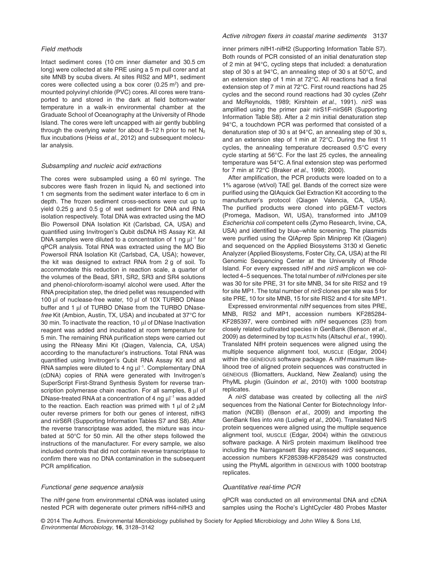#### *Field methods*

Intact sediment cores (10 cm inner diameter and 30.5 cm long) were collected at site PRE using a 5 m pull corer and at site MNB by scuba divers. At sites RIS2 and MP1, sediment cores were collected using a box corer (0.25  $m<sup>2</sup>$ ) and premounted polyvinyl chloride (PVC) cores. All cores were transported to and stored in the dark at field bottom-water temperature in a walk-in environmental chamber at the Graduate School of Oceanography at the University of Rhode Island. The cores were left uncapped with air gently bubbling through the overlying water for about 8–12 h prior to net  $N_2$ flux incubations (Heiss *et al*., 2012) and subsequent molecular analysis.

#### *Subsampling and nucleic acid extractions*

The cores were subsampled using a 60 ml syringe. The subcores were flash frozen in liquid  $N<sub>2</sub>$  and sectioned into 1 cm segments from the sediment water interface to 6 cm in depth. The frozen sediment cross-sections were cut up to yield 0.25 g and 0.5 g of wet sediment for DNA and RNA isolation respectively. Total DNA was extracted using the MO Bio Powersoil DNA Isolation Kit (Carlsbad, CA, USA) and quantified using Invitrogen's Qubit dsDNA HS Assay Kit. All DNA samples were diluted to a concentration of 1 ng  $\mu$ I-1 for qPCR analysis. Total RNA was extracted using the MO Bio Powersoil RNA Isolation Kit (Carlsbad, CA, USA); however, the kit was designed to extract RNA from 2 g of soil. To accommodate this reduction in reaction scale, a quarter of the volumes of the Bead, SR1, SR2, SR3 and SR4 solutions and phenol-chloroform-isoamyl alcohol were used. After the RNA precipitation step, the dried pellet was resuspended with 100 μl of nuclease-free water, 10 μl of 10X TURBO DNase buffer and 1 μl of TURBO DNase from the TURBO DNase*free* Kit (Ambion, Austin, TX, USA) and incubated at 37°C for 30 min. To inactivate the reaction, 10 μl of DNase Inactivation reagent was added and incubated at room temperature for 5 min. The remaining RNA purification steps were carried out using the RNeasy Mini Kit (Qiagen, Valencia, CA, USA) according to the manufacturer's instructions. Total RNA was quantified using Invitrogen's Qubit RNA Assay Kit and all RNA samples were diluted to 4 ng μl<sup>-1</sup>. Complementary DNA (cDNA) copies of RNA were generated with Invitrogen's SuperScript First-Strand Synthesis System for reverse transcription polymerase chain reaction. For all samples, 8 μl of DNase-treated RNA at a concentration of 4 ng  $\mu$ I $^{-1}$  was added to the reaction. Each reaction was primed with 1 μl of 2 μM outer reverse primers for both our genes of interest, nifH3 and nirS6R (Supporting Information Tables S7 and S8). After the reverse transcriptase was added, the mixture was incubated at 50°C for 50 min. All the other steps followed the instructions of the manufacturer. For every sample, we also included controls that did not contain reverse transcriptase to confirm there was no DNA contamination in the subsequent PCR amplification.

#### *Functional gene sequence analysis*

The *nifH* gene from environmental cDNA was isolated using nested PCR with degenerate outer primers nifH4-nifH3 and

#### *Active nitrogen fixers in coastal marine sediments* 3137

inner primers nifH1-nifH2 (Supporting Information Table S7). Both rounds of PCR consisted of an initial denaturation step of 2 min at 94°C, cycling steps that included: a denaturation step of 30 s at 94°C, an annealing step of 30 s at 50°C, and an extension step of 1 min at 72°C. All reactions had a final extension step of 7 min at 72°C. First round reactions had 25 cycles and the second round reactions had 30 cycles (Zehr and McReynolds, 1989; Kirshtein *et al*., 1991). *nirS* was amplified using the primer pair nirS1F-nirS6R (Supporting Information Table S8). After a 2 min initial denaturation step 94°C, a touchdown PCR was performed that consisted of a denaturation step of 30 s at 94°C, an annealing step of 30 s, and an extension step of 1 min at 72°C. During the first 11 cycles, the annealing temperature decreased 0.5°C every cycle starting at 56°C. For the last 25 cycles, the annealing temperature was 54°C. A final extension step was performed for 7 min at 72°C (Braker *et al*., 1998; 2000).

After amplification, the PCR products were loaded on to a 1% agarose (wt/vol) TAE gel. Bands of the correct size were purified using the QIAquick Gel Extraction Kit according to the manufacturer's protocol (Qiagen Valencia, CA, USA). The purified products were cloned into pGEM-T vectors (Promega, Madison, WI, USA), transformed into JM109 *Escherichia coli* competent cells (Zymo Research, Irvine, CA, USA) and identified by blue–white screening. The plasmids were purified using the QIAprep Spin Miniprep Kit (Qiagen) and sequenced on the Applied Biosystems 3130 xl Genetic Analyzer (Applied Biosystems, Foster City, CA, USA) at the RI Genomic Sequencing Center at the University of Rhode Island. For every expressed *nifH* and *nirS* amplicon we collected 4–5 sequences. The total number of *nifH* clones per site was 30 for site PRE, 31 for site MNB, 34 for site RIS2 and 19 for site MP1. The total number of *nirS* clones per site was 5 for site PRE, 10 for site MNB, 15 for site RIS2 and 4 for site MP1.

Expressed environmental *nifH* sequences from sites PRE, MNB, RIS2 and MP1, accession numbers KF285284- KF285397, were combined with *nifH* sequences (23) from closely related cultivated species in GenBank (Benson *et al*., 2009) as determined by top BLASTN hits (Altschul *et al*., 1990). Translated NifH protein sequences were aligned using the multiple sequence alignment tool, MUSCLE (Edgar, 2004) within the GENEIOUS software package. A *nifH* maximum likelihood tree of aligned protein sequences was constructed in GENEIOUS (Biomatters, Auckland, New Zealand) using the PhyML plugin (Guindon *et al*., 2010) with 1000 bootstrap replicates.

A *nirS* database was created by collecting all the *nirS* sequences from the National Center for Biotechnology Information (NCBI) (Benson *et al*., 2009) and importing the GenBank files into ARB (Ludwig *et al*., 2004). Translated NirS protein sequences were aligned using the multiple sequence alignment tool, MUSCLE (Edgar, 2004) within the GENEIOUS software package. A NirS protein maximum likelihood tree including the Narragansett Bay expressed *nirS* sequences, accession numbers KF285398-KF285429 was constructed using the PhyML algorithm in GENEIOUS with 1000 bootstrap replicates*.*

#### *Quantitative real-time PCR*

qPCR was conducted on all environmental DNA and cDNA samples using the Roche's LightCycler 480 Probes Master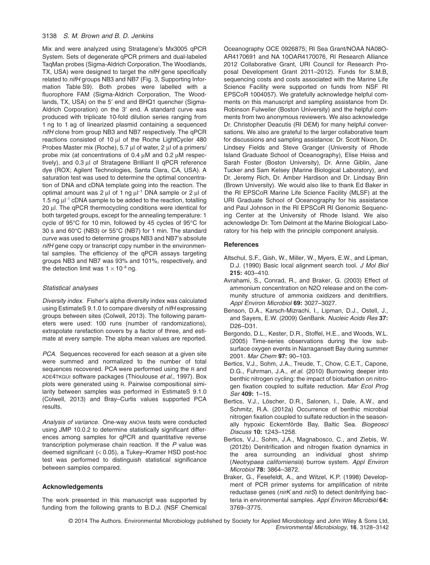Mix and were analyzed using Stratagene's Mx3005 qPCR System. Sets of degenerate qPCR primers and dual-labeled TaqMan probes (Sigma-Aldrich Corporation, The Woodlands, TX, USA) were designed to target the *nifH* gene specifically related to *nifH* groups NB3 and NB7 (Fig. 3, Supporting Information Table S9). Both probes were labelled with a fluorophore FAM (Sigma-Aldrich Corporation, The Woodlands, TX, USA) on the 5′ end and BHQ1 quencher (Sigma-Aldrich Corporation) on the 3′ end. A standard curve was produced with triplicate 10-fold dilution series ranging from 1 ng to 1 ag of linearized plasmid containing a sequenced *nifH* clone from group NB3 and NB7 respectively. The qPCR reactions consisted of 10 μl of the Roche LightCycler 480 Probes Master mix (Roche), 5.7 μl of water, 2 μl of a primers/ probe mix (at concentrations of 0.4 μM and 0.2 μM respectively), and 0.3 μl of Stratagene Brilliant II qPCR reference dye (ROX; Agilent Technologies, Santa Clara, CA, USA). A saturation test was used to determine the optimal concentration of DNA and cDNA template going into the reaction. The optimal amount was 2 μl of 1 ng μl<sup>−1</sup> DNA sample or 2 μl of 1.5 ng  $\mu$ <sup>-1</sup> cDNA sample to be added to the reaction, totalling 20 μl. The qPCR thermocycling conditions were identical for both targeted groups, except for the annealing temperature: 1 cycle of 95°C for 10 min, followed by 45 cycles of 95°C for 30 s and 60°C (NB3) or 55°C (NB7) for 1 min. The standard curve was used to determine groups NB3 and NB7's absolute *nifH* gene copy or transcript copy number in the environmental samples. The efficiency of the qPCR assays targeting groups NB3 and NB7 was 93% and 101%, respectively, and the detection limit was  $1 \times 10^{-8}$  ng.

#### *Statistical analyses*

*Diversity index.* Fisher's alpha diversity index was calculated using EstimateS 9.1.0 to compare diversity of *nifH* expressing groups between sites (Colwell, 2013). The following parameters were used: 100 runs (number of randomizations), extrapolate rarefaction covers by a factor of three, and estimate at every sample. The alpha mean values are reported.

*PCA.* Sequences recovered for each season at a given site were summed and normalized to the number of total sequences recovered. PCA were performed using the R and ADE4TKGUI software packages (Thioulouse *et al*., 1997). Box plots were generated using R. Pairwise compositional similarity between samples was performed in EstimateS 9.1.0 (Colwell, 2013) and Bray–Curtis values supported PCA results.

*Analysis of variance.* One-way ANOVA tests were conducted using JMP 10.0.2 to determine statistically significant differences among samples for qPCR and quantitative reverse transcription polymerase chain reaction. If the *P* value was deemed significant (< 0.05), a Tukey–Kramer HSD post-hoc test was performed to distinguish statistical significance between samples compared.

#### **Acknowledgements**

The work presented in this manuscript was supported by funding from the following grants to B.D.J. (NSF Chemical Oceanography OCE 0926875; RI Sea Grant/NOAA NA08O-AR4170691 and NA 10OAR4170076, RI Research Alliance 2012 Collaborative Grant, URI Council for Research Proposal Development Grant 2011–2012). Funds for S.M.B, sequencing costs and costs associated with the Marine Life Science Facility were supported on funds from NSF RI EPSCoR 1004057). We gratefully acknowledge helpful comments on this manuscript and sampling assistance from Dr. Robinson Fulweiler (Boston University) and the helpful comments from two anonymous reviewers. We also acknowledge Dr. Christopher Deacutis (RI DEM) for many helpful conversations. We also are grateful to the larger collaborative team for discussions and sampling assistance: Dr. Scott Nixon, Dr. Lindsey Fields and Steve Granger (University of Rhode Island Graduate School of Oceanography), Elise Heiss and Sarah Foster (Boston University), Dr. Anne Giblin, Jane Tucker and Sam Kelsey (Marine Biological Laboratory), and Dr. Jeremy Rich, Dr. Amber Hardison and Dr. Lindsay Brin (Brown University). We would also like to thank Ed Baker in the RI EPSCoR Marine Life Science Facility (MLSF) at the URI Graduate School of Oceanography for his assistance and Paul Johnson in the RI EPSCoR RI Genomic Sequencing Center at the University of Rhode Island. We also acknowledge Dr. Tom Delmont at the Marine Biological Laboratory for his help with the principle component analysis.

#### **References**

- Altschul, S.F., Gish, W., Miller, W., Myers, E.W., and Lipman, D.J. (1990) Basic local alignment search tool. *J Mol Biol* **215:** 403–410.
- Avrahami, S., Conrad, R., and Braker, G. (2003) Effect of ammonium concentration on N2O release and on the community structure of ammonia oxidizers and denitrifiers. *Appl Environ Microbiol* **69:** 3027–3027.
- Benson, D.A., Karsch-Mizrachi, I., Lipman, D.J., Ostell, J., and Sayers, E.W. (2009) GenBank. *Nucleic Acids Res* **37:** D26–D31.
- Bergondo, D.L., Kester, D.R., Stoffel, H.E., and Woods, W.L. (2005) Time-series observations during the low subsurface oxygen events in Narragansett Bay during summer 2001. *Mar Chem* **97:** 90–103.
- Bertics, V.J., Sohm, J.A., Treude, T., Chow, C.E.T., Capone, D.G., Fuhrman, J.A., *et al*. (2010) Burrowing deeper into benthic nitrogen cycling: the impact of bioturbation on nitrogen fixation coupled to sulfate reduction. *Mar Ecol Prog Ser* **409:** 1–15.
- Bertics, V.J., Löscher, D.R., Salonen, I., Dale, A.W., and Schmitz, R.A. (2012a) Occurrence of benthic microbial nitrogen fixation coupled to sulfate reduction in the seasonally hypoxic Eckernförde Bay, Baltic Sea. *Biogeosci Discuss* **10:** 1243–1258.
- Bertics, V.J., Sohm, J.A., Magnabosco, C., and Ziebis, W. (2012b) Denitrification and nitrogen fixation dynamics in the area surrounding an individual ghost shrimp (*Neotrypaea californiensis*) burrow system. *Appl Environ Microbiol* **78:** 3864–3872.
- Braker, G., Fesefeldt, A., and Witzel, K.P. (1998) Development of PCR primer systems for amplification of nitrite reductase genes (*nirK* and *nirS*) to detect denitrifying bacteria in environmental samples. *Appl Environ Microbiol* **64:** 3769–3775.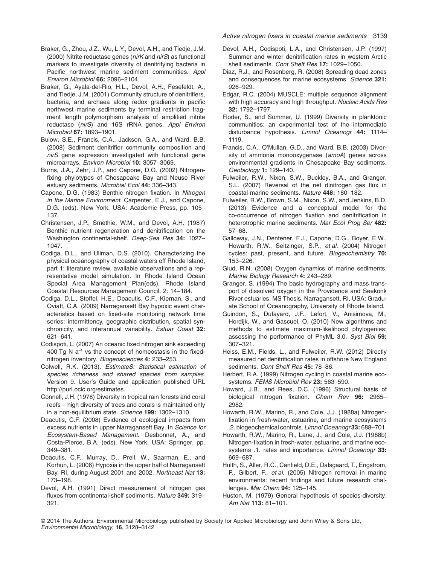- Braker, G., Zhou, J.Z., Wu, L.Y., Devol, A.H., and Tiedje, J.M. (2000) Nitrite reductase genes (*nirK* and *nirS*) as functional markers to investigate diversity of denitrifying bacteria in Pacific northwest marine sediment communities. *Appl Environ Microbiol* **66:** 2096–2104.
- Braker, G., Ayala-del-Rio, H.L., Devol, A.H., Fesefeldt, A., and Tiedje, J.M. (2001) Community structure of denitrifiers, bacteria, and archaea along redox gradients in pacific northwest marine sediments by terminal restriction fragment length polymorphism analysis of amplified nitrite reductase (*nirS*) and 16S rRNA genes. *Appl Environ Microbiol* **67:** 1893–1901.
- Bulow, S.E., Francis, C.A., Jackson, G.A., and Ward, B.B. (2008) Sediment denitrifier community composition and *nirS* gene expression investigated with functional gene microarrays. *Environ Microbiol* **10:** 3057–3069.
- Burns, J.A., Zehr, J.P., and Capone, D.G. (2002) Nitrogenfixing phylotypes of Chesapeake Bay and Neuse River estuary sediments. *Microbial Ecol* **44:** 336–343.
- Capone, D.G. (1983) Benthic nitrogen fixation. In *Nitrogen in the Marine Environment*. Carpenter, E.J., and Capone, D.G. (eds). New York, USA: Academic Press, pp. 105– 137.
- Christensen, J.P., Smethie, W.M., and Devol, A.H. (1987) Benthic nutrient regeneration and denitrification on the Washington continental-shelf. *Deep-Sea Res* **34:** 1027– 1047.
- Codiga, D.L., and Ullman, D.S. (2010). Characterizing the physical oceanography of coastal waters off Rhode Island, part 1: literature review, available observations and a representative model simulation. In Rhode Island Ocean Special Area Management Plan(eds), Rhode Island Coastal Resources Management Council. 2: 14–184.
- Codiga, D.L., Stoffel, H.E., Deacutis, C.F., Kiernan, S., and Oviatt, C.A. (2009) Narragansett Bay hypoxic event characteristics based on fixed-site monitoring network time series: intermittency, geographic distribution, spatial synchronicity, and interannual variability. *Estuar Coast* **32:** 621–641.
- Codispoti, L. (2007) An oceanic fixed nitrogen sink exceeding 400 Tg N a<sup>−</sup><sup>1</sup> vs the concept of homeostasis in the fixednitrogen inventory. *Biogeosciences* **4:** 233–253.
- Colwell, R.K. (2013). *EstimateS: Statistical estimation of species richeness and shared species from samples*. Version 9. User's Guide and application published URL [http://purl.oclc.org/estimates.](http://purl.oclc.org/estimates)
- Connell, J.H. (1978) Diversity in tropical rain forests and coral reefs – high diversity of trees and corals is maintained only in a non-equilibrium state. *Science* **199:** 1302–1310.
- Deacutis, C.F. (2008) Evidence of ecological impacts from excess nutrients in upper Narragansett Bay. In *Science for Ecosystem-Based Management*. Desbonnet, A., and Costa-Pierce, B.A. (eds). New York, USA: Springer, pp. 349–381.
- Deacutis, C.F., Murray, D., Prell, W., Saarman, E., and Korhun, L. (2006) Hypoxia in the upper half of Narragansett Bay, RI, during August 2001 and 2002. *Northeast Nat* **13:** 173–198.
- Devol, A.H. (1991) Direct measurement of nitrogen gas fluxes from continental-shelf sediments. *Nature* **349:** 319– 321.
- Devol, A.H., Codispoti, L.A., and Christensen, J.P. (1997) Summer and winter denitrification rates in western Arctic shelf sediments. *Cont Shelf Res* **17:** 1029–1050.
- Diaz, R.J., and Rosenberg, R. (2008) Spreading dead zones and consequences for marine ecosystems. *Science* **321:** 926–929.
- Edgar, R.C. (2004) MUSCLE: multiple sequence alignment with high accuracy and high throughput. *Nucleic Acids Res* **32:** 1792–1797.
- Floder, S., and Sommer, U. (1999) Diversity in planktonic communities: an experimental test of the intermediate disturbance hypothesis. *Limnol Oceanogr* **44:** 1114– 1119.
- Francis, C.A., O'Mullan, G.D., and Ward, B.B. (2003) Diversity of ammonia monooxygenase (*amoA*) genes across environmental gradients in Chesapeake Bay sediments. *Geobiology* **1:** 129–140.
- Fulweiler, R.W., Nixon, S.W., Buckley, B.A., and Granger, S.L. (2007) Reversal of the net dinitrogen gas flux in coastal marine sediments. *Nature* **448:** 180–182.
- Fulweiler, R.W., Brown, S.M., Nixon, S.W., and Jenkins, B.D. (2013) Evidence and a conceptual model for the co-occurrence of nitrogen fixation and denitrification in heterotrophic marine sediments. *Mar Ecol Prog Ser* **482:** 57–68.
- Galloway, J.N., Dentener, F.J., Capone, D.G., Boyer, E.W., Howarth, R.W., Seitzinger, S.P., *et al*. (2004) Nitrogen cycles: past, present, and future. *Biogeochemistry* **70:** 153–226.
- Glud, R.N. (2008) Oxygen dynamics of marine sediments. *Marine Biology Research* **4:** 243–289.
- Granger, S. (1994) The basic hydrography and mass transport of dissolved oxygen in the Providence and Seekonk River estuaries. MS Thesis. Narragansett, RI, USA: Graduate School of Oceanography, University of Rhode Island.
- Guindon, S., Dufayard, J.F., Lefort, V., Anisimova, M., Hordijk, W., and Gascuel, O. (2010) New algorithms and methods to estimate maximum-likelihood phylogenies: assessing the performance of PhyML 3.0. *Syst Biol* **59:** 307–321.
- Heiss, E.M., Fields, L., and Fulweiler, R.W. (2012) Directly measured net denitrification rates in offshore New England sediments. *Cont Shelf Res* **45:** 78–86.
- Herbert, R.A. (1999) Nitrogen cycling in coastal marine ecosystems. *FEMS Microbiol Rev* **23:** 563–590.
- Howard, J.B., and Rees, D.C. (1996) Structural basis of biological nitrogen fixation. *Chem Rev* **96:** 2965– 2982.
- Howarth, R.W., Marino, R., and Cole, J.J. (1988a) Nitrogenfixation in fresh-water, estuarine, and marine ecosystems .2. biogeochemical controls. *Limnol Oceanogr* **33:** 688–701.
- Howarth, R.W., Marino, R., Lane, J., and Cole, J.J. (1988b) Nitrogen-fixation in fresh-water, estuarine, and marine ecosystems .1. rates and importance. *Limnol Oceanogr* **33:** 669–687.
- Hulth, S., Aller, R.C., Canfield, D.E., Dalsgaard, T., Engstrom, P., Gilbert, F., *et al*. (2005) Nitrogen removal in marine environments: recent findings and future research challenges. *Mar Chem* **94:** 125–145.
- Huston, M. (1979) General hypothesis of species-diversity. *Am Nat* **113:** 81–101.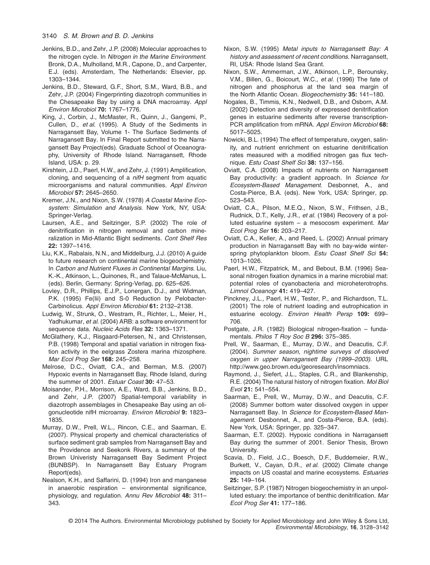- Jenkins, B.D., and Zehr, J.P. (2008) Molecular approaches to the nitrogen cycle. In *Nitrogen in the Marine Environment*. Bronk, D.A., Mulholland, M.R., Capone, D., and Carpenter, E.J. (eds). Amsterdam, The Netherlands: Elsevier, pp. 1303–1344.
- Jenkins, B.D., Steward, G.F., Short, S.M., Ward, B.B., and Zehr, J.P. (2004) Fingerprinting diazotroph communities in the Chesapeake Bay by using a DNA macroarray. *Appl Environ Microbiol* **70:** 1767–1776.
- King, J., Corbin, J., McMaster, R., Quinn, J., Gangemi, P., Cullen, D., *et al*. (1995). A Study of the Sediments in Narragansett Bay, Volume 1- The Surface Sediments of Narragansett Bay. In Final Report submitted to the Narragansett Bay Project(eds). Graduate School of Oceanography, University of Rhode Island. Narragansett, Rhode Island, USA: p. 29.
- Kirshtein, J.D., Paerl, H.W., and Zehr, J. (1991) Amplification, cloning, and sequencing of a *nifH* segment from aquatic microorganisms and natural communities. *Appl Environ Microbiol* **57:** 2645–2650.
- Kremer, J.N., and Nixon, S.W. (1978) *A Coastal Marine Ecosystem: Simulation and Analysis*. New York, NY, USA: Springer-Verlag.
- Laursen, A.E., and Seitzinger, S.P. (2002) The role of denitrification in nitrogen removal and carbon mineralization in Mid-Atlantic Bight sediments. *Cont Shelf Res* **22:** 1397–1416.
- Liu, K.K., Rabalais, N.N., and Middelburg, J.J. (2010) A guide to future research on continental marine biogeochemistry. In *Carbon and Nutrient Fluxes in Continental Margins*. Liu, K.-K., Atkinson, L., Quinones, R., and Talaue-McManus, L. (eds). Berlin, Germany: Spring-Verlag, pp. 625–626.
- Lovley, D.R., Phillips, E.J.P., Lonergan, D.J., and Widman, P.K. (1995) Fe(Iii) and S-0 Reduction by Pelobacter-Carbinolicus. *Appl Environ Microbiol* **61:** 2132–2138.
- Ludwig, W., Strunk, O., Westram, R., Richter, L., Meier, H., Yadhukumar, *et al*. (2004) ARB: a software environment for sequence data. *Nucleic Acids Res* **32:** 1363–1371.
- McGlathery, K.J., Risgaard-Petersen, N., and Christensen, P.B. (1998) Temporal and spatial variation in nitrogen fixation activity in the eelgrass Zostera marina rhizosphere. *Mar Ecol Prog Ser* **168:** 245–258.
- Melrose, D.C., Oviatt, C.A., and Berman, M.S. (2007) Hypoxic events in Narragansett Bay, Rhode Island, during the summer of 2001. *Estuar Coast* **30:** 47–53.
- Moisander, P.H., Morrison, A.E., Ward, B.B., Jenkins, B.D., and Zehr, J.P. (2007) Spatial-temporal variability in diazotroph assemblages in Chesapeake Bay using an oligonucleotide nifH microarray. *Environ Microbiol* **9:** 1823– 1835.
- Murray, D.W., Prell, W.L., Rincon, C.E., and Saarman, E. (2007). Physical property and chemical characteristics of surface sediment grab samples from Narragansett Bay and the Providence and Seekonk Rivers, a summary of the Brown Univeristy Narragansett Bay Sediment Project (BUNBSP). In Narragansett Bay Estuary Program Report(eds).
- Nealson, K.H., and Saffarini, D. (1994) Iron and manganese in anaerobic respiration – environmental significance, physiology, and regulation. *Annu Rev Microbiol* **48:** 311– 343.
- Nixon, S.W. (1995) *Metal inputs to Narragansett Bay: A history and assessment of recent conditions*. Narragansett, RI, USA: Rhode Island Sea Grant.
- Nixon, S.W., Ammerman, J.W., Atkinson, L.P., Berounsky, V.M., Billen, G., Boicourt, W.C., *et al*. (1996) The fate of nitrogen and phosphorus at the land sea margin of the North Atlantic Ocean. *Biogeochemistry* **35:** 141–180.
- Nogales, B., Timmis, K.N., Nedwell, D.B., and Osborn, A.M. (2002) Detection and diversity of expressed denitrification genes in estuarine sediments after reverse transcription-PCR amplification from mRNA. *Appl Environ Microbiol* **68:** 5017–5025.
- Nowicki, B.L. (1994) The effect of temperature, oxygen, salinity, and nutrient enrichment on estuarine denitrification rates measured with a modified nitrogen gas flux technique. *Estu Coast Shelf Sci* **38:** 137–156.
- Oviatt, C.A. (2008) Impacts of nutrients on Narragansett Bay productivity: a gradient approach. In *Science for Ecosystem-Based Management*. Desbonnet, A., and Costa-Pierce, B.A. (eds). New York, USA: Springer, pp. 523–543.
- Oviatt, C.A., Pilson, M.E.Q., Nixon, S.W., Frithsen, J.B., Rudnick, D.T., Kelly, J.R., *et al*. (1984) Recovery of a polluted estuarine system – a mesocosm experiment. *Mar Ecol Prog Ser* **16:** 203–217.
- Oviatt, C.A., Keller, A., and Reed, L. (2002) Annual primary production in Narragansett Bay with no bay-wide winterspring phytoplankton bloom. *Estu Coast Shelf Sci* **54:** 1013–1026.
- Paerl, H.W., Fitzpatrick, M., and Bebout, B.M. (1996) Seasonal nitrogen fixation dynamics in a marine microbial mat: potential roles of cyanobacteria and microheterotrophs. *Limnol Oceanogr* **41:** 419–427.
- Pinckney, J.L., Paerl, H.W., Tester, P., and Richardson, T.L. (2001) The role of nutrient loading and eutrophication in estuarine ecology. *Environ Health Persp* **109:** 699– 706.
- Postgate, J.R. (1982) Biological nitrogen-fixation fundamentals. *Philos T Roy Soc B* **296:** 375–385.
- Prell, W., Saarman, E., Murray, D.W., and Deacutis, C.F. (2004). *Summer season, nightime surveys of dissolved oxygen in upper Narragansett Bay (1999–2003)*. URL [http://www.geo.brown.edu/georesearch/insomniacs.](http://www.geo.brown.edu/georesearch/insomniacs)
- Raymond, J., Siefert, J.L., Staples, C.R., and Blankenship, R.E. (2004) The natural history of nitrogen fixation. *Mol Biol Evol* **21:** 541–554.
- Saarman, E., Prell, W., Murray, D.W., and Deacutis, C.F. (2008) Summer bottom water dissolved oxygen in upper Narragansett Bay. In *Science for Ecosystem-Based Management*. Desbonnet, A., and Costa-Pierce, B.A. (eds). New York, USA: Springer, pp. 325–347.
- Saarman, E.T. (2002). Hypoxic conditions in Narragansett Bay during the summer of 2001. Senior Thesis, Brown University.
- Scavia, D., Field, J.C., Boesch, D.F., Buddemeier, R.W., Burkett, V., Cayan, D.R., *et al*. (2002) Climate change impacts on US coastal and marine ecosystems. *Estuaries* **25:** 149–164.
- Seitzinger, S.P. (1987) Nitrogen biogeochemistry in an unpolluted estuary: the importance of benthic denitrification. *Mar Ecol Prog Ser* **41:** 177–186.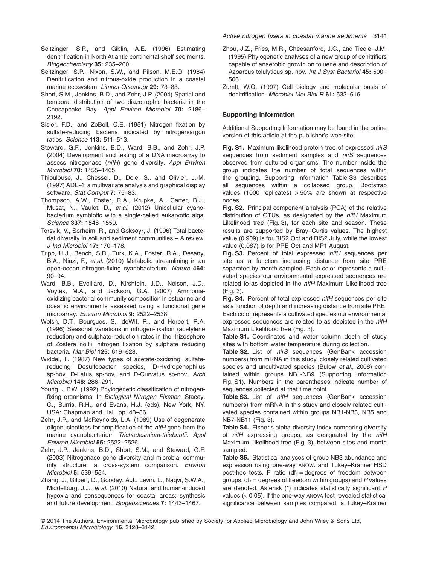- Seitzinger, S.P., and Giblin, A.E. (1996) Estimating denitrification in North Atlantic continental shelf sediments. *Biogeochemistry* **35:** 235–260.
- Seitzinger, S.P., Nixon, S.W., and Pilson, M.E.Q. (1984) Denitrification and nitrous-oxide production in a coastal marine ecosystem. *Limnol Oceanogr* **29:** 73–83.
- Short, S.M., Jenkins, B.D., and Zehr, J.P. (2004) Spatial and temporal distribution of two diazotrophic bacteria in the Chesapeake Bay. *Appl Environ Microbiol* **70:** 2186– 2192.
- Sisler, F.D., and ZoBell, C.E. (1951) Nitrogen fixation by sulfate-reducing bacteria indicated by nitrogen/argon ratios. *Science* **113:** 511–513.
- Steward, G.F., Jenkins, B.D., Ward, B.B., and Zehr, J.P. (2004) Development and testing of a DNA macroarray to assess nitrogenase (*nifH*) gene diversity. *Appl Environ Microbiol* **70:** 1455–1465.
- Thioulouse, J., Chessel, D., Dole, S., and Olivier, J.-M. (1997) ADE-4: a multivariate analysis and graphical display software. *Stat Comput* **7:** 75–83.
- Thompson, A.W., Foster, R.A., Krupke, A., Carter, B.J., Musat, N., Vaulot, D., *et al*. (2012) Unicellular cyanobacterium symbiotic with a single-celled eukaryotic alga. *Science* **337:** 1546–1550.
- Torsvik, V., Sorheim, R., and Goksoyr, J. (1996) Total bacterial diversity in soil and sediment communities – A review. *J Ind Microbiol* **17:** 170–178.
- Tripp, H.J., Bench, S.R., Turk, K.A., Foster, R.A., Desany, B.A., Niazi, F., *et al*. (2010) Metabolic streamlining in an open-ocean nitrogen-fixing cyanobacterium. *Nature* **464:** 90–94.
- Ward, B.B., Eveillard, D., Kirshtein, J.D., Nelson, J.D., Voytek, M.A., and Jackson, G.A. (2007) Ammoniaoxidizing bacterial community composition in estuarine and oceanic environments assessed using a functional gene microarray. *Environ Microbiol* **9:** 2522–2538.
- Welsh, D.T., Bourgues, S., deWit, R., and Herbert, R.A. (1996) Seasonal variations in nitrogen-fixation (acetylene reduction) and sulphate-reduction rates in the rhizosphere of Zostera noltii: nitrogen fixation by sulphate reducing bacteria. *Mar Biol* **125:** 619–628.
- Widdel, F. (1987) New types of acetate-oxidizing, sulfatereducing Desulfobacter species, D-Hydrogenophilus sp-nov, D-Latus sp-nov, and D-Curvatus sp-nov. *Arch Microbiol* **148:** 286–291.
- Young, J.P.W. (1992) Phylogenetic classification of nitrogenfixing organisms. In *Biological Nitrogen Fixation*. Stacey, G., Burris, R.H., and Evans, H.J. (eds). New York, NY, USA: Chapman and Hall, pp. 43–86.
- Zehr, J.P., and McReynolds, L.A. (1989) Use of degenerate oligonucleotides for amplification of the *nifH* gene from the marine cyanobacterium *Trichodesmium-thiebautii*. *Appl Environ Microbiol* **55:** 2522–2526.
- Zehr, J.P., Jenkins, B.D., Short, S.M., and Steward, G.F. (2003) Nitrogenase gene diversity and microbial community structure: a cross-system comparison. *Environ Microbiol* **5:** 539–554.
- Zhang, J., Gilbert, D., Gooday, A.J., Levin, L., Naqvi, S.W.A., Middelburg, J.J., *et al*. (2010) Natural and human-induced hypoxia and consequences for coastal areas: synthesis and future development. *Biogeosciences* **7:** 1443–1467.
- Zhou, J.Z., Fries, M.R., Cheesanford, J.C., and Tiedje, J.M. (1995) Phylogenetic analyses of a new group of denitrifiers capable of anaerobic growth on toluene and description of Azoarcus tolulyticus sp. nov. *Int J Syst Bacteriol* **45:** 500– 506.
- Zumft, W.G. (1997) Cell biology and molecular basis of denitrification. *Microbiol Mol Biol R* **61:** 533–616.

#### **Supporting information**

Additional Supporting Information may be found in the online version of this article at the publisher's web-site:

**Fig. S1.** Maximum likelihood protein tree of expressed *nirS* sequences from sediment samples and *nirS* sequences observed from cultured organisms. The number inside the group indicates the number of total sequences within the grouping. Supporting Information Table S3 describes all sequences within a collapsed group. Bootstrap values (1000 replicates) > 50% are shown at respective nodes.

**Fig. S2.** Principal component analysis (PCA) of the relative distribution of OTUs, as designated by the *nifH* Maximum Likelihood tree (Fig. 3), for each site and season. These results are supported by Bray–Curtis values. The highest value (0.909) is for RIS2 Oct and RIS2 July, while the lowest value (0.087) is for PRE Oct and MP1 August.

**Fig. S3.** Percent of total expressed *nifH* sequences per site as a function increasing distance from site PRE separated by month sampled. Each color represents a cultivated species our environmental expressed sequences are related to as depicted in the *nifH* Maximum Likelihood tree (Fig. 3).

**Fig. S4.** Percent of total expressed *nifH* sequences per site as a function of depth and increasing distance from site PRE. Each color represents a cultivated species our environmental expressed sequences are related to as depicted in the *nifH* Maximum Likelihood tree (Fig. 3).

**Table S1.** Coordinates and water column depth of study sites with bottom water temperature during collection.

**Table S2.** List of *nirS* sequences (GenBank accession numbers) from mRNA in this study, closely related cultivated species and uncultivated species (Bulow *et al*., 2008) contained within groups NB1-NB9 (Supporting Information Fig. S1). Numbers in the parentheses indicate number of sequences collected at that time point.

**Table S3.** List of *nifH* sequences (GenBank accession numbers) from mRNA in this study and closely related cultivated species contained within groups NB1-NB3, NB5 and NB7-NB11 (Fig. 3).

**Table S4.** Fisher's alpha diversity index comparing diversity of *nifH* expressing groups, as designated by the *nifH* Maximum Likelihood tree (Fig. 3), between sites and month sampled.

**Table S5.** Statistical analyses of group NB3 abundance and expression using one-way ANOVA and Tukey–Kramer HSD post-hoc tests. F ratio (df<sub>1</sub> = degrees of freedom between groups,  $df_2$  = degrees of freedom within groups) and  $P$  values are denoted. Asterisk (\*) indicates statistically significant *P* values (< 0.05). If the one-way ANOVA test revealed statistical significance between samples compared, a Tukey–Kramer